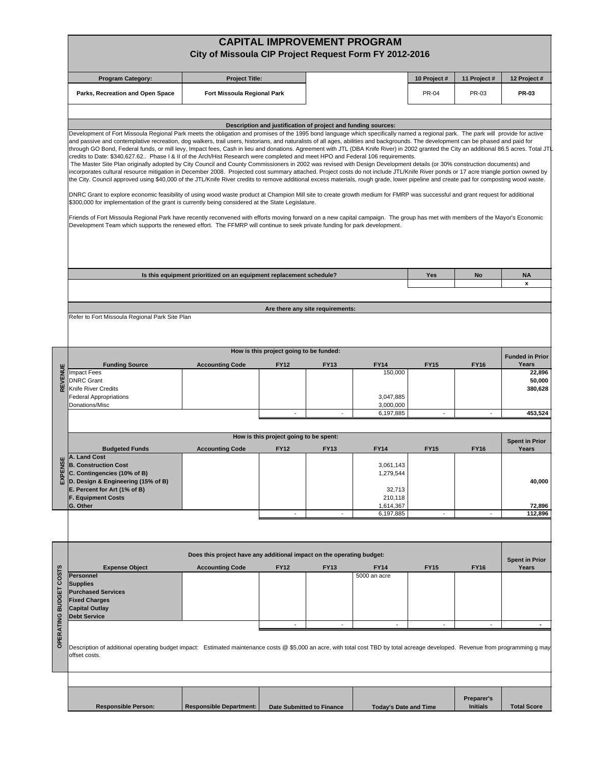|                        |                                                                                                                                                                                                                                                                                                                                                                                                                                                                                                                                                                                                                                                                                                                                                                                                                                                                                                                                                                                                                                                                          | City of Missoula CIP Project Request Form FY 2012-2016                |                                                               |                                  | <b>CAPITAL IMPROVEMENT PROGRAM</b> |                          |                               |                                |  |  |  |
|------------------------|--------------------------------------------------------------------------------------------------------------------------------------------------------------------------------------------------------------------------------------------------------------------------------------------------------------------------------------------------------------------------------------------------------------------------------------------------------------------------------------------------------------------------------------------------------------------------------------------------------------------------------------------------------------------------------------------------------------------------------------------------------------------------------------------------------------------------------------------------------------------------------------------------------------------------------------------------------------------------------------------------------------------------------------------------------------------------|-----------------------------------------------------------------------|---------------------------------------------------------------|----------------------------------|------------------------------------|--------------------------|-------------------------------|--------------------------------|--|--|--|
|                        | <b>Program Category:</b>                                                                                                                                                                                                                                                                                                                                                                                                                                                                                                                                                                                                                                                                                                                                                                                                                                                                                                                                                                                                                                                 | <b>Project Title:</b>                                                 |                                                               |                                  |                                    | 10 Project #             | 11 Project #                  | 12 Project #                   |  |  |  |
|                        | Parks, Recreation and Open Space                                                                                                                                                                                                                                                                                                                                                                                                                                                                                                                                                                                                                                                                                                                                                                                                                                                                                                                                                                                                                                         | Fort Missoula Regional Park                                           |                                                               |                                  |                                    | <b>PR-04</b>             | PR-03                         | PR-03                          |  |  |  |
|                        | Development of Fort Missoula Regional Park meets the obligation and promises of the 1995 bond language which specifically named a regional park. The park will provide for active<br>and passive and contemplative recreation, dog walkers, trail users, historians, and naturalists of all ages, abilities and backgrounds. The development can be phased and paid for                                                                                                                                                                                                                                                                                                                                                                                                                                                                                                                                                                                                                                                                                                  |                                                                       | Description and justification of project and funding sources: |                                  |                                    |                          |                               |                                |  |  |  |
|                        | through GO Bond, Federal funds, or mill levy, Impact fees, Cash in lieu and donations. Agreement with JTL (DBA Knife River) in 2002 granted the City an additional 86.5 acres. Total JTI<br>credits to Date: \$340,627.62 Phase I & II of the Arch/Hist Research were completed and meet HPO and Federal 106 requirements.<br>The Master Site Plan originally adopted by City Council and County Commissioners in 2002 was revised with Design Development details (or 30% construction documents) and<br>incorporates cultural resource mitigation in December 2008. Projected cost summary attached. Project costs do not include JTL/Knife River ponds or 17 acre triangle portion owned by<br>the City. Council approved using \$40,000 of the JTL/Knife River credits to remove additional excess materials, rough grade, lower pipeline and create pad for composting wood waste.<br>DNRC Grant to explore economic feasibility of using wood waste product at Champion Mill site to create growth medium for FMRP was successful and grant request for additional |                                                                       |                                                               |                                  |                                    |                          |                               |                                |  |  |  |
|                        | \$300,000 for implementation of the grant is currently being considered at the State Legislature.<br>Friends of Fort Missoula Regional Park have recently reconvened with efforts moving forward on a new capital campaign. The group has met with members of the Mayor's Economic<br>Development Team which supports the renewed effort. The FFMRP will continue to seek private funding for park development.                                                                                                                                                                                                                                                                                                                                                                                                                                                                                                                                                                                                                                                          |                                                                       |                                                               |                                  |                                    |                          |                               |                                |  |  |  |
|                        |                                                                                                                                                                                                                                                                                                                                                                                                                                                                                                                                                                                                                                                                                                                                                                                                                                                                                                                                                                                                                                                                          |                                                                       |                                                               |                                  |                                    | Yes                      |                               |                                |  |  |  |
|                        | Is this equipment prioritized on an equipment replacement schedule?                                                                                                                                                                                                                                                                                                                                                                                                                                                                                                                                                                                                                                                                                                                                                                                                                                                                                                                                                                                                      |                                                                       |                                                               |                                  |                                    |                          | No                            | <b>NA</b><br>x                 |  |  |  |
|                        |                                                                                                                                                                                                                                                                                                                                                                                                                                                                                                                                                                                                                                                                                                                                                                                                                                                                                                                                                                                                                                                                          |                                                                       |                                                               |                                  |                                    |                          |                               |                                |  |  |  |
|                        | Refer to Fort Missoula Regional Park Site Plan                                                                                                                                                                                                                                                                                                                                                                                                                                                                                                                                                                                                                                                                                                                                                                                                                                                                                                                                                                                                                           |                                                                       |                                                               | Are there any site requirements: |                                    |                          |                               |                                |  |  |  |
|                        |                                                                                                                                                                                                                                                                                                                                                                                                                                                                                                                                                                                                                                                                                                                                                                                                                                                                                                                                                                                                                                                                          |                                                                       | How is this project going to be funded:                       |                                  |                                    |                          |                               | <b>Funded in Prior</b>         |  |  |  |
| REVENUE                | <b>Funding Source</b><br>Impact Fees                                                                                                                                                                                                                                                                                                                                                                                                                                                                                                                                                                                                                                                                                                                                                                                                                                                                                                                                                                                                                                     | <b>Accounting Code</b>                                                | <b>FY12</b>                                                   | <b>FY13</b>                      | <b>FY14</b><br>150,000             | <b>FY15</b>              | <b>FY16</b>                   | Years<br>22,896                |  |  |  |
|                        | <b>DNRC</b> Grant<br>Knife River Credits<br><b>Federal Appropriations</b><br>Donations/Misc                                                                                                                                                                                                                                                                                                                                                                                                                                                                                                                                                                                                                                                                                                                                                                                                                                                                                                                                                                              |                                                                       |                                                               |                                  | 3,047,885<br>3,000,000             |                          |                               | 50,000<br>380,628              |  |  |  |
|                        |                                                                                                                                                                                                                                                                                                                                                                                                                                                                                                                                                                                                                                                                                                                                                                                                                                                                                                                                                                                                                                                                          |                                                                       | $\overline{a}$                                                | $\overline{a}$                   | 6,197,885                          | $\overline{\phantom{a}}$ | $\overline{\phantom{a}}$      | 453,524                        |  |  |  |
|                        | How is this project going to be spent:                                                                                                                                                                                                                                                                                                                                                                                                                                                                                                                                                                                                                                                                                                                                                                                                                                                                                                                                                                                                                                   |                                                                       |                                                               |                                  |                                    |                          |                               |                                |  |  |  |
|                        | <b>Budgeted Funds</b>                                                                                                                                                                                                                                                                                                                                                                                                                                                                                                                                                                                                                                                                                                                                                                                                                                                                                                                                                                                                                                                    | <b>Accounting Code</b>                                                | <b>FY12</b>                                                   | <b>FY13</b>                      | <b>FY14</b>                        | <b>FY15</b>              | <b>FY16</b>                   | <b>Spent in Prior</b><br>Years |  |  |  |
| EXPEN                  | A. Land Cost<br><b>B. Construction Cost</b><br>C. Contingencies (10% of B)<br>D. Design & Engineering (15% of B)<br>E. Percent for Art (1% of B)                                                                                                                                                                                                                                                                                                                                                                                                                                                                                                                                                                                                                                                                                                                                                                                                                                                                                                                         |                                                                       |                                                               |                                  | 3,061,143<br>1,279,544<br>32,713   |                          |                               | 40,000                         |  |  |  |
|                        | <b>F. Equipment Costs</b><br>G. Other                                                                                                                                                                                                                                                                                                                                                                                                                                                                                                                                                                                                                                                                                                                                                                                                                                                                                                                                                                                                                                    |                                                                       |                                                               |                                  | 210,118<br>1,614,367               |                          |                               | 72,896                         |  |  |  |
|                        |                                                                                                                                                                                                                                                                                                                                                                                                                                                                                                                                                                                                                                                                                                                                                                                                                                                                                                                                                                                                                                                                          |                                                                       |                                                               |                                  | 6,197,885                          | ÷                        |                               | 112,896                        |  |  |  |
|                        |                                                                                                                                                                                                                                                                                                                                                                                                                                                                                                                                                                                                                                                                                                                                                                                                                                                                                                                                                                                                                                                                          |                                                                       |                                                               |                                  |                                    |                          |                               |                                |  |  |  |
|                        |                                                                                                                                                                                                                                                                                                                                                                                                                                                                                                                                                                                                                                                                                                                                                                                                                                                                                                                                                                                                                                                                          | Does this project have any additional impact on the operating budget: |                                                               |                                  |                                    |                          |                               | <b>Spent in Prior</b>          |  |  |  |
|                        | <b>Expense Object</b><br>Personnel<br><b>Supplies</b>                                                                                                                                                                                                                                                                                                                                                                                                                                                                                                                                                                                                                                                                                                                                                                                                                                                                                                                                                                                                                    | <b>Accounting Code</b>                                                | <b>FY12</b>                                                   | <b>FY13</b>                      | <b>FY14</b><br>5000 an acre        | <b>FY15</b>              | <b>FY16</b>                   | Years                          |  |  |  |
| OPERATING BUDGET COSTS | <b>Purchased Services</b><br><b>Fixed Charges</b><br><b>Capital Outlay</b><br><b>Debt Service</b>                                                                                                                                                                                                                                                                                                                                                                                                                                                                                                                                                                                                                                                                                                                                                                                                                                                                                                                                                                        |                                                                       |                                                               |                                  |                                    |                          |                               |                                |  |  |  |
|                        | Description of additional operating budget impact: Estimated maintenance costs @ \$5,000 an acre, with total cost TBD by total acreage developed. Revenue from programming g may<br>offset costs.                                                                                                                                                                                                                                                                                                                                                                                                                                                                                                                                                                                                                                                                                                                                                                                                                                                                        |                                                                       |                                                               |                                  |                                    | $\overline{a}$           |                               | ٠                              |  |  |  |
|                        |                                                                                                                                                                                                                                                                                                                                                                                                                                                                                                                                                                                                                                                                                                                                                                                                                                                                                                                                                                                                                                                                          |                                                                       |                                                               |                                  |                                    |                          |                               |                                |  |  |  |
|                        | <b>Responsible Person:</b>                                                                                                                                                                                                                                                                                                                                                                                                                                                                                                                                                                                                                                                                                                                                                                                                                                                                                                                                                                                                                                               | <b>Responsible Department:</b>                                        |                                                               | <b>Date Submitted to Finance</b> | <b>Today's Date and Time</b>       |                          | Preparer's<br><b>Initials</b> | <b>Total Score</b>             |  |  |  |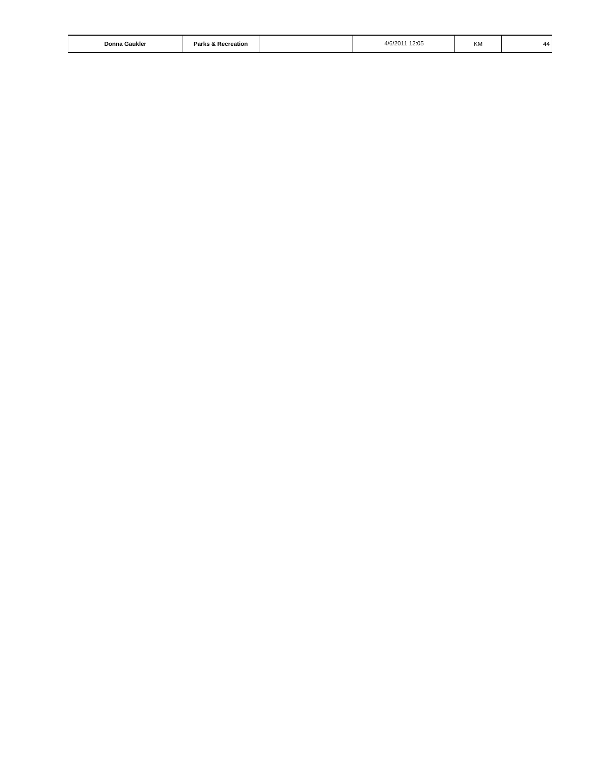| Donna<br>ı Gaukle<br>the contract of the contract of the contract of the contract of the contract of the contract of the contract of | ___<br>יים<br>∵reation<br>.<br>ке. |  | 12:05<br>4/6/201<br>$\sim$ $\sim$ $\sim$ $\sim$ $\sim$ $\sim$ $\sim$ | ΚM | 44 |
|--------------------------------------------------------------------------------------------------------------------------------------|------------------------------------|--|----------------------------------------------------------------------|----|----|
|--------------------------------------------------------------------------------------------------------------------------------------|------------------------------------|--|----------------------------------------------------------------------|----|----|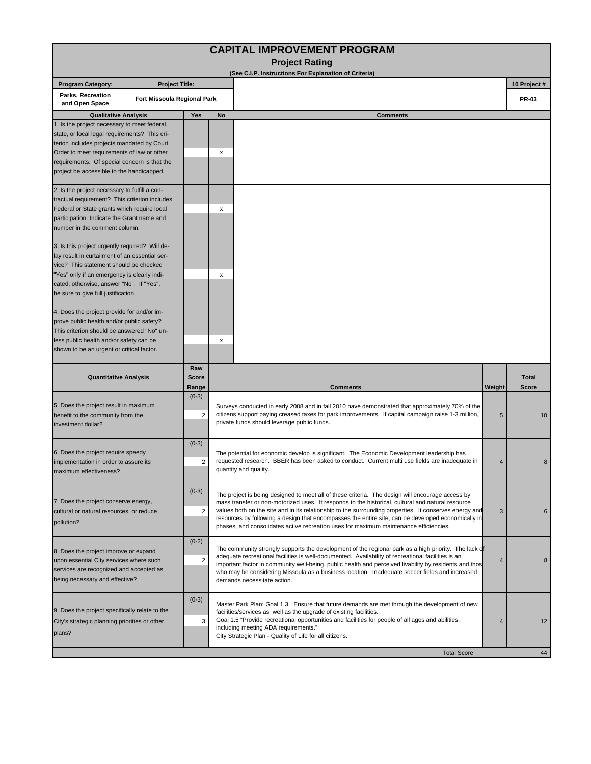|                                                                                                                                                                                                                                                                                        |                                                                                                                                                                                                                                                                                                                                                                                                                                                                                                                                                                                                                   |                              |    | <b>CAPITAL IMPROVEMENT PROGRAM</b><br><b>Project Rating</b>                                                                                                                                                                                                                                                                                                                                                                                                                                                         |        |                              |  |  |
|----------------------------------------------------------------------------------------------------------------------------------------------------------------------------------------------------------------------------------------------------------------------------------------|-------------------------------------------------------------------------------------------------------------------------------------------------------------------------------------------------------------------------------------------------------------------------------------------------------------------------------------------------------------------------------------------------------------------------------------------------------------------------------------------------------------------------------------------------------------------------------------------------------------------|------------------------------|----|---------------------------------------------------------------------------------------------------------------------------------------------------------------------------------------------------------------------------------------------------------------------------------------------------------------------------------------------------------------------------------------------------------------------------------------------------------------------------------------------------------------------|--------|------------------------------|--|--|
|                                                                                                                                                                                                                                                                                        |                                                                                                                                                                                                                                                                                                                                                                                                                                                                                                                                                                                                                   |                              |    | (See C.I.P. Instructions For Explanation of Criteria)                                                                                                                                                                                                                                                                                                                                                                                                                                                               |        | 10 Project #                 |  |  |
| <b>Program Category:</b><br>Parks, Recreation<br>and Open Space                                                                                                                                                                                                                        | <b>Project Title:</b><br>Fort Missoula Regional Park                                                                                                                                                                                                                                                                                                                                                                                                                                                                                                                                                              |                              |    |                                                                                                                                                                                                                                                                                                                                                                                                                                                                                                                     |        | <b>PR-03</b>                 |  |  |
|                                                                                                                                                                                                                                                                                        | <b>Qualitative Analysis</b>                                                                                                                                                                                                                                                                                                                                                                                                                                                                                                                                                                                       | Yes                          | No | <b>Comments</b>                                                                                                                                                                                                                                                                                                                                                                                                                                                                                                     |        |                              |  |  |
| 1. Is the project necessary to meet federal,<br>state, or local legal requirements? This cri-<br>terion includes projects mandated by Court<br>Order to meet requirements of law or other<br>requirements. Of special concern is that the<br>project be accessible to the handicapped. |                                                                                                                                                                                                                                                                                                                                                                                                                                                                                                                                                                                                                   |                              | х  |                                                                                                                                                                                                                                                                                                                                                                                                                                                                                                                     |        |                              |  |  |
| 2. Is the project necessary to fulfill a con-<br>tractual requirement? This criterion includes<br>Federal or State grants which require local<br>participation. Indicate the Grant name and<br>number in the comment column.                                                           |                                                                                                                                                                                                                                                                                                                                                                                                                                                                                                                                                                                                                   |                              | x  |                                                                                                                                                                                                                                                                                                                                                                                                                                                                                                                     |        |                              |  |  |
| 3. Is this project urgently required? Will de-<br>lay result in curtailment of an essential ser-<br>vice? This statement should be checked<br>"Yes" only if an emergency is clearly indi-<br>cated; otherwise, answer "No". If "Yes",<br>be sure to give full justification.           |                                                                                                                                                                                                                                                                                                                                                                                                                                                                                                                                                                                                                   |                              | x  |                                                                                                                                                                                                                                                                                                                                                                                                                                                                                                                     |        |                              |  |  |
| 4. Does the project provide for and/or im-<br>prove public health and/or public safety?<br>This criterion should be answered "No" un-<br>less public health and/or safety can be<br>shown to be an urgent or critical factor.                                                          |                                                                                                                                                                                                                                                                                                                                                                                                                                                                                                                                                                                                                   |                              | x  |                                                                                                                                                                                                                                                                                                                                                                                                                                                                                                                     |        |                              |  |  |
|                                                                                                                                                                                                                                                                                        | <b>Quantitative Analysis</b>                                                                                                                                                                                                                                                                                                                                                                                                                                                                                                                                                                                      | Raw<br><b>Score</b><br>Range |    | <b>Comments</b>                                                                                                                                                                                                                                                                                                                                                                                                                                                                                                     | Weight | <b>Total</b><br><b>Score</b> |  |  |
| 5. Does the project result in maximum<br>benefit to the community from the<br>investment dollar?                                                                                                                                                                                       |                                                                                                                                                                                                                                                                                                                                                                                                                                                                                                                                                                                                                   | $(0-3)$<br>2                 |    | Surveys conducted in early 2008 and in fall 2010 have demonstrated that approximately 70% of the<br>citizens support paying creased taxes for park improvements. If capital campaign raise 1-3 million,<br>private funds should leverage public funds.                                                                                                                                                                                                                                                              | 5      | 10                           |  |  |
| 6. Does the project require speedy<br>implementation in order to assure its<br>maximum effectiveness?                                                                                                                                                                                  |                                                                                                                                                                                                                                                                                                                                                                                                                                                                                                                                                                                                                   | $(0-3)$<br>2                 |    | The potential for economic develop is significant. The Economic Development leadership has<br>requested research. BBER has been asked to conduct. Current multi use fields are inadequate in<br>4<br>quantity and quality.                                                                                                                                                                                                                                                                                          |        |                              |  |  |
| 7. Does the project conserve energy,<br>cultural or natural resources, or reduce<br>pollution?                                                                                                                                                                                         |                                                                                                                                                                                                                                                                                                                                                                                                                                                                                                                                                                                                                   | $(0-3)$<br>2                 |    | The project is being designed to meet all of these criteria. The design will encourage access by<br>mass transfer or non-motorized uses. It responds to the historical, cultural and natural resource<br>values both on the site and in its relationship to the surrounding properties. It conserves energy and<br>3<br>resources by following a design that encompasses the entire site, can be developed economically in<br>phases, and consolidates active recreation uses for maximum maintenance efficiencies. |        |                              |  |  |
| being necessary and effective?                                                                                                                                                                                                                                                         | $(0-2)$<br>The community strongly supports the development of the regional park as a high priority. The lack of<br>8. Does the project improve or expand<br>adequate recreational facilities is well-documented. Availability of recreational facilities is an<br>$\overline{c}$<br>upon essential City services where such<br>important factor in community well-being, public health and perceived livability by residents and thos<br>services are recognized and accepted as<br>who may be considering Missoula as a business location. Inadequate soccer fields and increased<br>demands necessitate action. |                              |    | 4                                                                                                                                                                                                                                                                                                                                                                                                                                                                                                                   | 8      |                              |  |  |
| 9. Does the project specifically relate to the<br>City's strategic planning priorities or other<br>plans?                                                                                                                                                                              |                                                                                                                                                                                                                                                                                                                                                                                                                                                                                                                                                                                                                   | $(0-3)$<br>3                 |    | Master Park Plan: Goal 1.3 "Ensure that future demands are met through the development of new<br>facilities/services as well as the upgrade of existing facilities."<br>Goal 1.5 "Provide recreational opportunities and facilities for people of all ages and abilities,<br>including meeting ADA requirements."<br>City Strategic Plan - Quality of Life for all citizens.                                                                                                                                        | 4      | 12                           |  |  |
|                                                                                                                                                                                                                                                                                        |                                                                                                                                                                                                                                                                                                                                                                                                                                                                                                                                                                                                                   |                              |    | <b>Total Score</b>                                                                                                                                                                                                                                                                                                                                                                                                                                                                                                  |        | 44                           |  |  |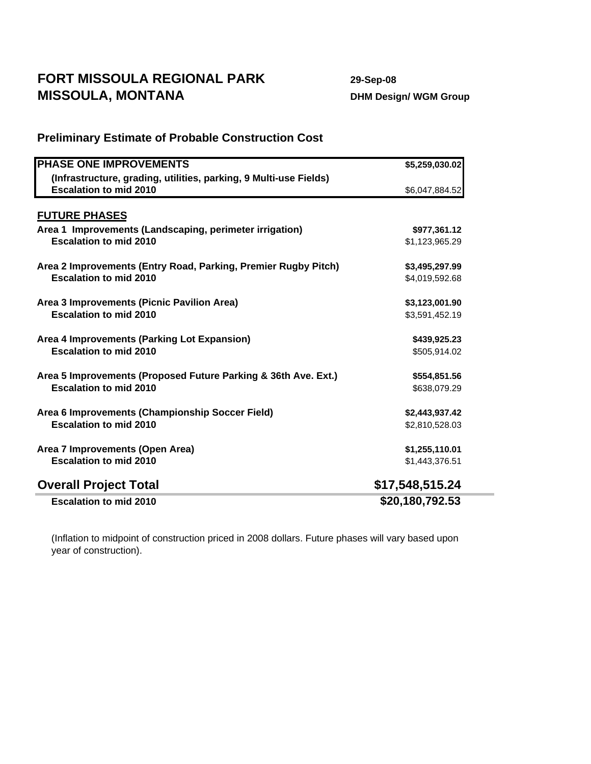## **FORT MISSOULA REGIONAL PARK 29-Sep-08 MISSOULA, MONTANA** DHM Design/ WGM Group

## **PHASE ONE IMPROVEMENTS \$5,259,030.02 (Infrastructure, grading, utilities, parking, 9 Multi-use Fields) Escalation to mid 2010 6.047,884.52 FUTURE PHASES Area 1 Improvements (Landscaping, perimeter irrigation) \$977,361.12 Escalation to mid 2010 61.123,965.29 \$1,123,965.29 Area 2 Improvements (Entry Road, Parking, Premier Rugby Pitch) \$3,495,297.99 Escalation to mid 2010 64,019,592.68 Area 3 Improvements (Picnic Pavilion Area) \$3,123,001.90 Escalation to mid 2010 \$3,591,452.19 Area 4 Improvements (Parking Lot Expansion) \$439,925.23 Escalation to mid 2010 \$505,914.02 Area 5 Improvements (Proposed Future Parking & 36th Ave. Ext.) \$554,851.56 Escalation to mid 2010 \$638,079.29 \$638,079.29 Area 6 Improvements (Championship Soccer Field) \$2,443,937.42 Escalation to mid 2010 \$2,810,528.03 Area 7 Improvements (Open Area) \$1,255,110.01 Escalation to mid 2010 61,443,376.51 Overall Project Total \$17,548,515.24 Escalation to mid 2010 \$20,180,792.53**

**Preliminary Estimate of Probable Construction Cost**

(Inflation to midpoint of construction priced in 2008 dollars. Future phases will vary based upon year of construction).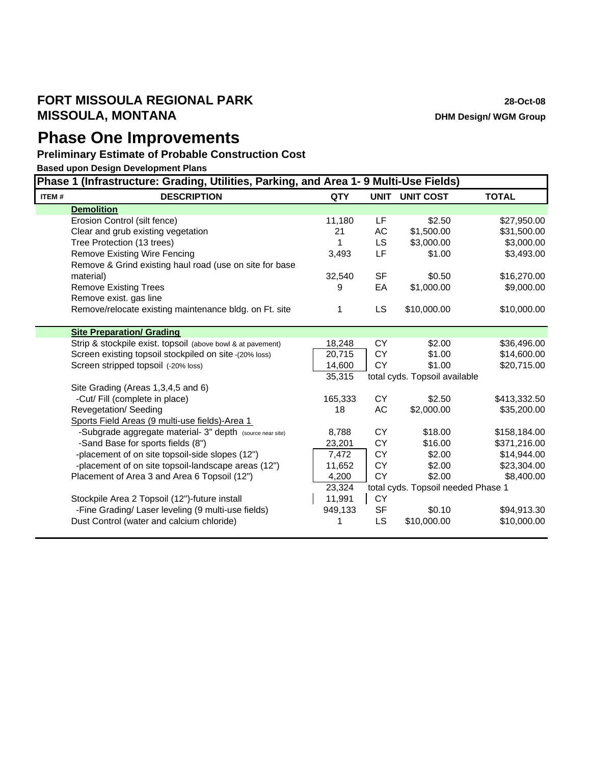## **FORT MISSOULA REGIONAL PARK 28-Oct-08 MISSOULA, MONTANA DHM** Design/ WGM Group

## **Phase One Improvements**

**Preliminary Estimate of Probable Construction Cost**

**Based upon Design Development Plans**

|       | Phase 1 (Infrastructure: Grading, Utilities, Parking, and Area 1- 9 Multi-Use Fields) |            |           |                                    |              |  |  |
|-------|---------------------------------------------------------------------------------------|------------|-----------|------------------------------------|--------------|--|--|
| ITEM# | <b>DESCRIPTION</b>                                                                    | <b>QTY</b> |           | <b>UNIT UNIT COST</b>              | <b>TOTAL</b> |  |  |
|       | <b>Demolition</b>                                                                     |            |           |                                    |              |  |  |
|       | Erosion Control (silt fence)                                                          | 11,180     | LF        | \$2.50                             | \$27,950.00  |  |  |
|       | Clear and grub existing vegetation                                                    | 21         | AC        | \$1,500.00                         | \$31,500.00  |  |  |
|       | Tree Protection (13 trees)                                                            | 1          | LS        | \$3,000.00                         | \$3,000.00   |  |  |
|       | <b>Remove Existing Wire Fencing</b>                                                   | 3,493      | LF        | \$1.00                             | \$3,493.00   |  |  |
|       | Remove & Grind existing haul road (use on site for base                               |            |           |                                    |              |  |  |
|       | material)                                                                             | 32,540     | <b>SF</b> | \$0.50                             | \$16,270.00  |  |  |
|       | <b>Remove Existing Trees</b>                                                          | 9          | EA        | \$1,000.00                         | \$9,000.00   |  |  |
|       | Remove exist. gas line                                                                |            |           |                                    |              |  |  |
|       | Remove/relocate existing maintenance bldg. on Ft. site                                | 1          | <b>LS</b> | \$10,000.00                        | \$10,000.00  |  |  |
|       |                                                                                       |            |           |                                    |              |  |  |
|       | <b>Site Preparation/ Grading</b>                                                      |            |           |                                    |              |  |  |
|       | Strip & stockpile exist. topsoil (above bowl & at pavement)                           | 18,248     | <b>CY</b> | \$2.00                             | \$36,496.00  |  |  |
|       | Screen existing topsoil stockpiled on site -(20% loss)                                | 20,715     | CY        | \$1.00                             | \$14,600.00  |  |  |
|       | Screen stripped topsoil (-20% loss)                                                   | 14,600     | <b>CY</b> | \$1.00                             | \$20,715.00  |  |  |
|       |                                                                                       | 35,315     |           | total cyds. Topsoil available      |              |  |  |
|       | Site Grading (Areas 1,3,4,5 and 6)                                                    |            |           |                                    |              |  |  |
|       | -Cut/ Fill (complete in place)                                                        | 165,333    | <b>CY</b> | \$2.50                             | \$413,332.50 |  |  |
|       | Revegetation/ Seeding                                                                 | 18         | AC        | \$2,000.00                         | \$35,200.00  |  |  |
|       | Sports Field Areas (9 multi-use fields)-Area 1                                        |            |           |                                    |              |  |  |
|       | -Subgrade aggregate material- 3" depth (source near site)                             | 8,788      | СY        | \$18.00                            | \$158,184.00 |  |  |
|       | -Sand Base for sports fields (8")                                                     | 23,201     | <b>CY</b> | \$16.00                            | \$371,216.00 |  |  |
|       | -placement of on site topsoil-side slopes (12")                                       | 7,472      | <b>CY</b> | \$2.00                             | \$14,944.00  |  |  |
|       | -placement of on site topsoil-landscape areas (12")                                   | 11,652     | <b>CY</b> | \$2.00                             | \$23,304.00  |  |  |
|       | Placement of Area 3 and Area 6 Topsoil (12")                                          | 4,200      | <b>CY</b> | \$2.00                             | \$8,400.00   |  |  |
|       |                                                                                       | 23,324     |           | total cyds. Topsoil needed Phase 1 |              |  |  |
|       | Stockpile Area 2 Topsoil (12")-future install                                         | 11,991     | <b>CY</b> |                                    |              |  |  |
|       | -Fine Grading/ Laser leveling (9 multi-use fields)                                    | 949,133    | <b>SF</b> | \$0.10                             | \$94,913.30  |  |  |
|       | Dust Control (water and calcium chloride)                                             |            | LS        | \$10,000.00                        | \$10,000.00  |  |  |
|       |                                                                                       |            |           |                                    |              |  |  |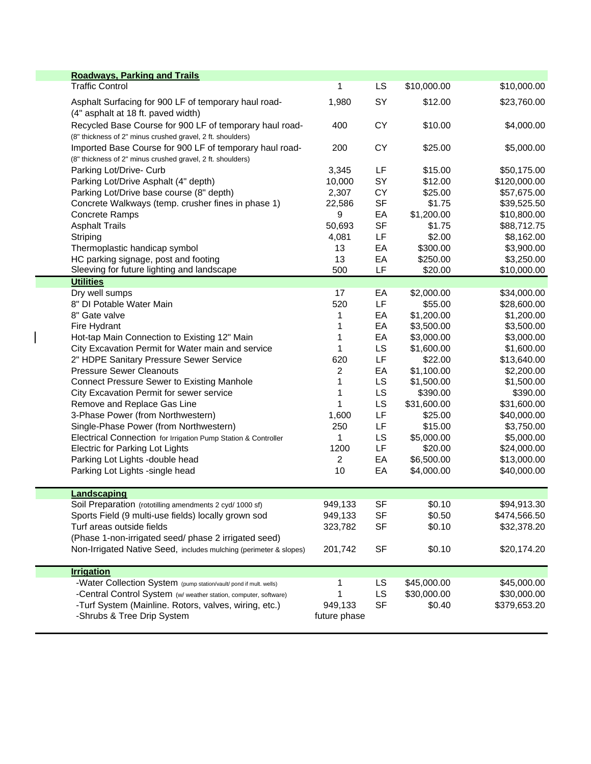| <b>Roadways, Parking and Trails</b>                                                                                   |                |           |             |              |
|-----------------------------------------------------------------------------------------------------------------------|----------------|-----------|-------------|--------------|
| <b>Traffic Control</b>                                                                                                | 1              | LS        | \$10,000.00 | \$10,000.00  |
| Asphalt Surfacing for 900 LF of temporary haul road-                                                                  | 1,980          | SY        | \$12.00     | \$23,760.00  |
| (4" asphalt at 18 ft. paved width)<br>Recycled Base Course for 900 LF of temporary haul road-                         | 400            | <b>CY</b> | \$10.00     | \$4,000.00   |
| (8" thickness of 2" minus crushed gravel, 2 ft. shoulders)                                                            |                |           |             |              |
| Imported Base Course for 900 LF of temporary haul road-<br>(8" thickness of 2" minus crushed gravel, 2 ft. shoulders) | 200            | <b>CY</b> | \$25.00     | \$5,000.00   |
| Parking Lot/Drive- Curb                                                                                               | 3,345          | LF        | \$15.00     | \$50,175.00  |
| Parking Lot/Drive Asphalt (4" depth)                                                                                  | 10,000         | SY        | \$12.00     | \$120,000.00 |
| Parking Lot/Drive base course (8" depth)                                                                              | 2,307          | <b>CY</b> | \$25.00     | \$57,675.00  |
| Concrete Walkways (temp. crusher fines in phase 1)                                                                    | 22,586         | <b>SF</b> | \$1.75      | \$39,525.50  |
| <b>Concrete Ramps</b>                                                                                                 | 9              | EA        | \$1,200.00  | \$10,800.00  |
| <b>Asphalt Trails</b>                                                                                                 | 50,693         | <b>SF</b> | \$1.75      | \$88,712.75  |
| Striping                                                                                                              | 4,081          | LF        | \$2.00      | \$8,162.00   |
| Thermoplastic handicap symbol                                                                                         | 13             | EA        | \$300.00    | \$3,900.00   |
| HC parking signage, post and footing                                                                                  | 13             | EA        | \$250.00    | \$3,250.00   |
| Sleeving for future lighting and landscape                                                                            | 500            | LF        | \$20.00     | \$10,000.00  |
| <b>Utilities</b>                                                                                                      |                |           |             |              |
| Dry well sumps                                                                                                        | 17             | EA        | \$2,000.00  | \$34,000.00  |
| 8" DI Potable Water Main                                                                                              | 520            | LF        | \$55.00     | \$28,600.00  |
| 8" Gate valve                                                                                                         | 1              | EA        | \$1,200.00  | \$1,200.00   |
| Fire Hydrant                                                                                                          | 1              | EA        | \$3,500.00  | \$3,500.00   |
| Hot-tap Main Connection to Existing 12" Main                                                                          | 1              | EA        | \$3,000.00  | \$3,000.00   |
| City Excavation Permit for Water main and service                                                                     | 1              | LS        | \$1,600.00  |              |
|                                                                                                                       |                | LF        |             | \$1,600.00   |
| 2" HDPE Sanitary Pressure Sewer Service                                                                               | 620            |           | \$22.00     | \$13,640.00  |
| <b>Pressure Sewer Cleanouts</b>                                                                                       | $\overline{2}$ | EA        | \$1,100.00  | \$2,200.00   |
| <b>Connect Pressure Sewer to Existing Manhole</b>                                                                     | 1              | LS        | \$1,500.00  | \$1,500.00   |
| City Excavation Permit for sewer service                                                                              | 1              | LS        | \$390.00    | \$390.00     |
| Remove and Replace Gas Line                                                                                           | 1              | LS        | \$31,600.00 | \$31,600.00  |
| 3-Phase Power (from Northwestern)                                                                                     | 1,600          | LF        | \$25.00     | \$40,000.00  |
| Single-Phase Power (from Northwestern)                                                                                | 250            | LF        | \$15.00     | \$3,750.00   |
| Electrical Connection for Irrigation Pump Station & Controller                                                        | 1              | LS        | \$5,000.00  | \$5,000.00   |
| <b>Electric for Parking Lot Lights</b>                                                                                | 1200           | LF        | \$20.00     | \$24,000.00  |
| Parking Lot Lights -double head                                                                                       | $\overline{2}$ | EA        | \$6,500.00  | \$13,000.00  |
| Parking Lot Lights -single head                                                                                       | 10             | EA        | \$4,000.00  | \$40,000.00  |
| Landscaping                                                                                                           |                |           |             |              |
| Soil Preparation (rototilling amendments 2 cyd/ 1000 sf)                                                              | 949,133        | <b>SF</b> | \$0.10      | \$94,913.30  |
| Sports Field (9 multi-use fields) locally grown sod                                                                   | 949,133        | <b>SF</b> | \$0.50      | \$474,566.50 |
| Turf areas outside fields                                                                                             | 323,782        | <b>SF</b> | \$0.10      | \$32,378.20  |
| (Phase 1-non-irrigated seed/ phase 2 irrigated seed)                                                                  |                |           |             |              |
| Non-Irrigated Native Seed, includes mulching (perimeter & slopes)                                                     | 201,742        | <b>SF</b> | \$0.10      | \$20,174.20  |
| <b>Irrigation</b>                                                                                                     |                |           |             |              |
| -Water Collection System (pump station/vault/ pond if mult. wells)                                                    | 1              | LS        | \$45,000.00 | \$45,000.00  |
| -Central Control System (w/ weather station, computer, software)                                                      | 1              | LS        | \$30,000.00 | \$30,000.00  |
| -Turf System (Mainline. Rotors, valves, wiring, etc.)                                                                 | 949,133        | <b>SF</b> | \$0.40      | \$379,653.20 |
| -Shrubs & Tree Drip System                                                                                            | future phase   |           |             |              |
|                                                                                                                       |                |           |             |              |

 $\overline{1}$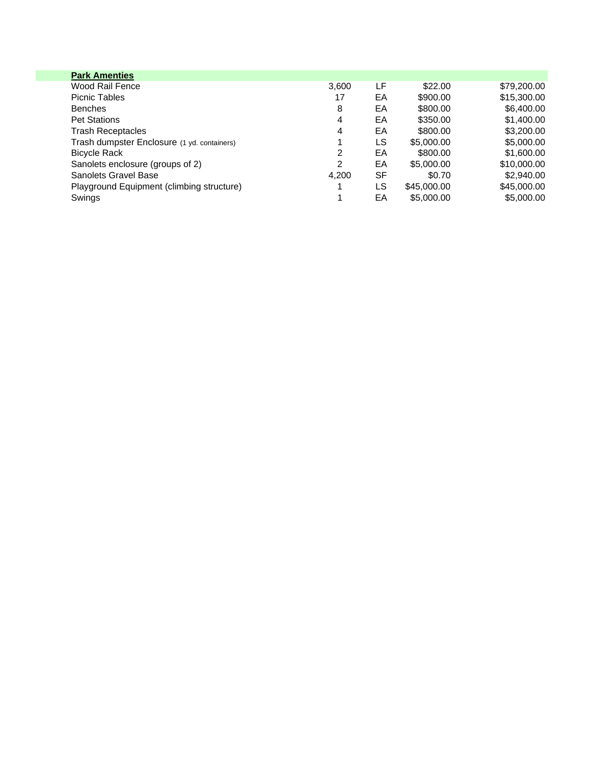| <b>Park Amenties</b>                        |       |    |             |             |
|---------------------------------------------|-------|----|-------------|-------------|
| Wood Rail Fence                             | 3,600 | LF | \$22.00     | \$79,200.00 |
| <b>Picnic Tables</b>                        | 17    | EA | \$900.00    | \$15,300.00 |
| <b>Benches</b>                              | 8     | EA | \$800.00    | \$6,400.00  |
| <b>Pet Stations</b>                         | 4     | EA | \$350.00    | \$1,400.00  |
| <b>Trash Receptacles</b>                    | 4     | EA | \$800.00    | \$3,200.00  |
| Trash dumpster Enclosure (1 yd. containers) |       | LS | \$5,000.00  | \$5,000.00  |
| <b>Bicycle Rack</b>                         | 2     | EA | \$800.00    | \$1,600.00  |
| Sanolets enclosure (groups of 2)            | 2     | EA | \$5,000.00  | \$10,000.00 |
| <b>Sanolets Gravel Base</b>                 | 4.200 | SF | \$0.70      | \$2,940.00  |
| Playground Equipment (climbing structure)   |       | LS | \$45,000.00 | \$45,000.00 |
| Swings                                      |       | EA | \$5,000.00  | \$5,000,00  |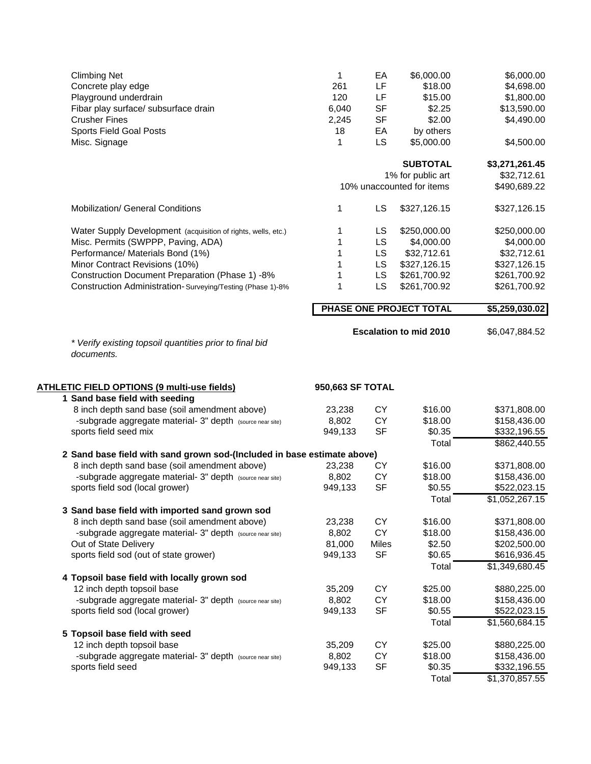| <b>Climbing Net</b><br>Concrete play edge<br>Playground underdrain<br>Fibar play surface/ subsurface drain<br><b>Crusher Fines</b><br><b>Sports Field Goal Posts</b><br>Misc. Signage | 1<br>261<br>120<br>6,040<br>2,245<br>18<br>1 | EA<br>LF<br>LF<br><b>SF</b><br><b>SF</b><br>EA<br>LS | \$6,000.00<br>\$18.00<br>\$15.00<br>\$2.25<br>\$2.00<br>by others<br>\$5,000.00 | \$6,000.00<br>\$4,698.00<br>\$1,800.00<br>\$13,590.00<br>\$4,490.00<br>\$4,500.00 |
|---------------------------------------------------------------------------------------------------------------------------------------------------------------------------------------|----------------------------------------------|------------------------------------------------------|---------------------------------------------------------------------------------|-----------------------------------------------------------------------------------|
|                                                                                                                                                                                       |                                              |                                                      | <b>SUBTOTAL</b>                                                                 | \$3,271,261.45                                                                    |
|                                                                                                                                                                                       |                                              |                                                      | 1% for public art<br>10% unaccounted for items                                  | \$32,712.61<br>\$490,689.22                                                       |
| Mobilization/ General Conditions                                                                                                                                                      | 1                                            | LS                                                   | \$327,126.15                                                                    | \$327,126.15                                                                      |
| Water Supply Development (acquisition of rights, wells, etc.)<br>Misc. Permits (SWPPP, Paving, ADA)<br>Performance/ Materials Bond (1%)                                               | 1<br>1<br>1                                  | LS<br>LS<br><b>LS</b>                                | \$250,000.00<br>\$4,000.00<br>\$32,712.61                                       | \$250,000.00<br>\$4,000.00<br>\$32,712.61                                         |
| Minor Contract Revisions (10%)<br>Construction Document Preparation (Phase 1) -8%                                                                                                     | 1<br>1                                       | <b>LS</b><br>LS                                      | \$327,126.15<br>\$261,700.92                                                    | \$327,126.15<br>\$261,700.92                                                      |
| Construction Administration-Surveying/Testing (Phase 1)-8%                                                                                                                            | 1                                            | LS                                                   | \$261,700.92                                                                    | \$261,700.92                                                                      |
|                                                                                                                                                                                       |                                              |                                                      | PHASE ONE PROJECT TOTAL                                                         | \$5,259,030.02                                                                    |
| * Verify existing topsoil quantities prior to final bid<br>documents.                                                                                                                 |                                              |                                                      | <b>Escalation to mid 2010</b>                                                   | \$6,047,884.52                                                                    |
| ATHLETIC FIELD OPTIONS (9 multi-use fields)                                                                                                                                           | 950,663 SF TOTAL                             |                                                      |                                                                                 |                                                                                   |
| 1 Sand base field with seeding<br>8 inch depth sand base (soil amendment above)<br>-subgrade aggregate material- 3" depth (source near site)<br>sports field seed mix                 | 23,238<br>8,802<br>949,133                   | <b>CY</b><br><b>CY</b><br><b>SF</b>                  | \$16.00<br>\$18.00<br>\$0.35                                                    | \$371,808.00<br>\$158,436.00<br>\$332,196.55                                      |
| 2 Sand base field with sand grown sod-(Included in base estimate above)                                                                                                               |                                              |                                                      | Total                                                                           | \$862,440.55                                                                      |
| 8 inch depth sand base (soil amendment above)<br>-subgrade aggregate material- 3" depth (source near site)<br>sports field sod (local grower)                                         | 23,238<br>8,802<br>949,133                   | <b>CY</b><br><b>CY</b><br><b>SF</b>                  | \$16.00<br>\$18.00<br>\$0.55<br>Total                                           | \$371,808.00<br>\$158,436.00<br>\$522,023.15<br>\$1,052,267.15                    |
| 3 Sand base field with imported sand grown sod<br>8 inch depth sand base (soil amendment above)<br>-subgrade aggregate material- 3" depth (source near site)                          | 23,238<br>8,802                              | CY<br>CY                                             | \$16.00<br>\$18.00                                                              | \$371,808.00<br>\$158,436.00                                                      |
| Out of State Delivery<br>sports field sod (out of state grower)                                                                                                                       | 81,000<br>949,133                            | Miles<br><b>SF</b>                                   | \$2.50<br>\$0.65                                                                | \$202,500.00<br>\$616,936.45                                                      |
| 4 Topsoil base field with locally grown sod<br>12 inch depth topsoil base<br>-subgrade aggregate material- 3" depth (source near site)<br>sports field sod (local grower)             | 35,209<br>8,802<br>949,133                   | CY<br>CY<br><b>SF</b>                                | Total<br>\$25.00<br>\$18.00<br>\$0.55<br>Total                                  | \$1,349,680.45<br>\$880,225.00<br>\$158,436.00<br>\$522,023.15<br>\$1,560,684.15  |